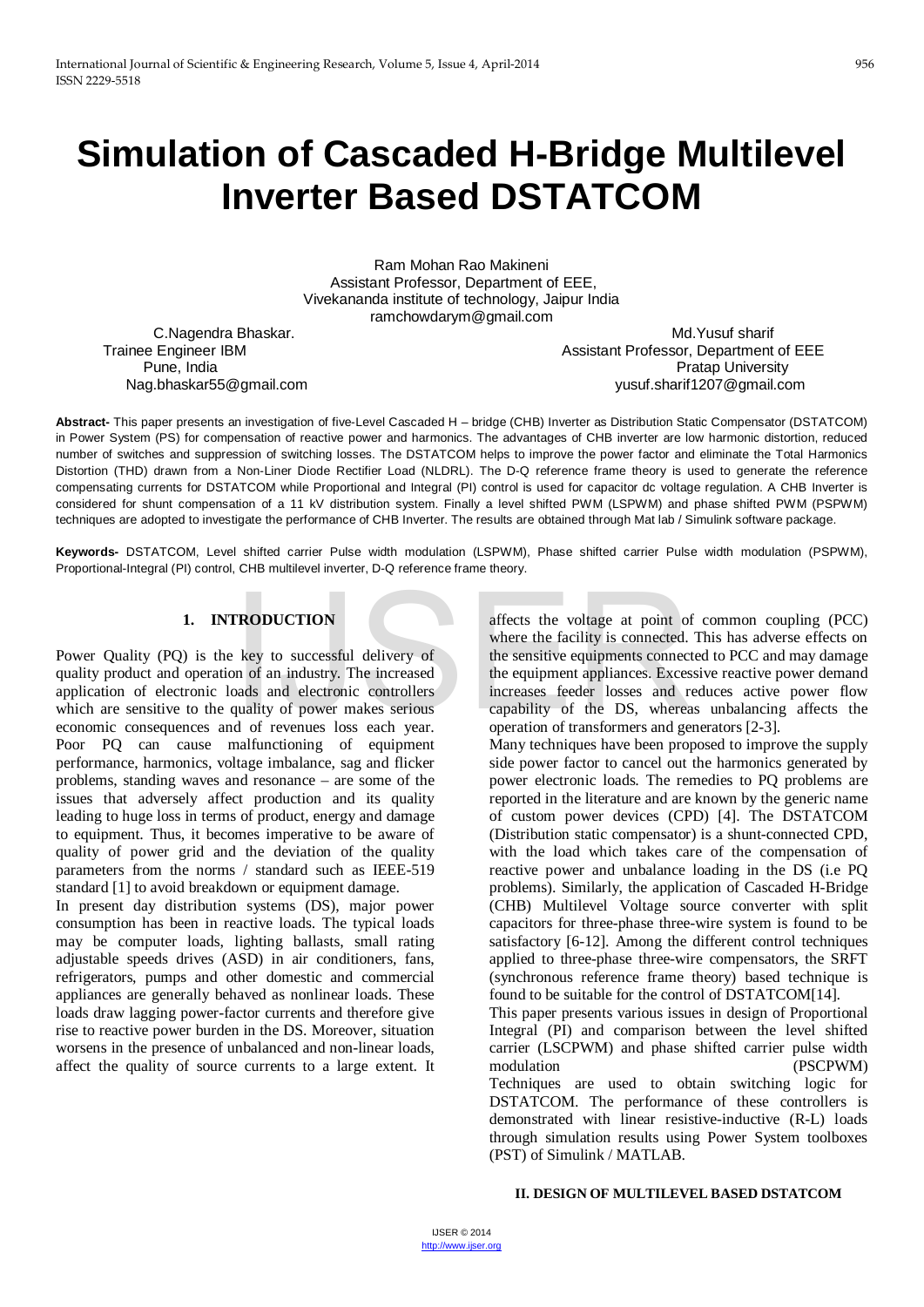# **Simulation of Cascaded H-Bridge Multilevel Inverter Based DSTATCOM**

Ram Mohan Rao Makineni Assistant Professor, Department of EEE, Vivekananda institute of technology, Jaipur India ramchowdarym@gmail.com

C.Nagendra Bhaskar. Maxwell and the control of the control of the Md.Yusuf sharif Trainee Engineer IBM **Assistant Professor, Department of EEE**<br>Pune, India **Assistant Professor, Department of EEE**  Pune, India Pratap University yusuf.sharif1207@gmail.com

**Abstract-** This paper presents an investigation of five-Level Cascaded H – bridge (CHB) Inverter as Distribution Static Compensator (DSTATCOM) in Power System (PS) for compensation of reactive power and harmonics. The advantages of CHB inverter are low harmonic distortion, reduced number of switches and suppression of switching losses. The DSTATCOM helps to improve the power factor and eliminate the Total Harmonics Distortion (THD) drawn from a Non-Liner Diode Rectifier Load (NLDRL). The D-Q reference frame theory is used to generate the reference compensating currents for DSTATCOM while Proportional and Integral (PI) control is used for capacitor dc voltage regulation. A CHB Inverter is considered for shunt compensation of a 11 kV distribution system. Finally a level shifted PWM (LSPWM) and phase shifted PWM (PSPWM) techniques are adopted to investigate the performance of CHB Inverter. The results are obtained through Mat lab / Simulink software package.

**Keywords-** DSTATCOM, Level shifted carrier Pulse width modulation (LSPWM), Phase shifted carrier Pulse width modulation (PSPWM), Proportional-Integral (PI) control, CHB multilevel inverter, D-Q reference frame theory.

## **1. INTRODUCTION**

Power Quality (PQ) is the key to successful delivery of quality product and operation of an industry. The increased application of electronic loads and electronic controllers which are sensitive to the quality of power makes serious economic consequences and of revenues loss each year. Poor PQ can cause malfunctioning of equipment performance, harmonics, voltage imbalance, sag and flicker problems, standing waves and resonance – are some of the issues that adversely affect production and its quality leading to huge loss in terms of product, energy and damage to equipment. Thus, it becomes imperative to be aware of quality of power grid and the deviation of the quality parameters from the norms / standard such as IEEE-519 standard [1] to avoid breakdown or equipment damage.

In present day distribution systems (DS), major power consumption has been in reactive loads. The typical loads may be computer loads, lighting ballasts, small rating adjustable speeds drives (ASD) in air conditioners, fans, refrigerators, pumps and other domestic and commercial appliances are generally behaved as nonlinear loads. These loads draw lagging power-factor currents and therefore give rise to reactive power burden in the DS. Moreover, situation worsens in the presence of unbalanced and non-linear loads, affect the quality of source currents to a large extent. It

affects the voltage at point of common coupling (PCC) where the facility is connected. This has adverse effects on the sensitive equipments connected to PCC and may damage the equipment appliances. Excessive reactive power demand increases feeder losses and reduces active power flow capability of the DS, whereas unbalancing affects the operation of transformers and generators [2-3]. **TRODUCTION**<br>
Externe the sensitive equipments connected.<br>
Externe the facility is connected.<br>
Externe the facility is connected.<br>
The increased on the sensitive equipments connected.<br>
Sensitive equipments connected.<br>
The

Many techniques have been proposed to improve the supply side power factor to cancel out the harmonics generated by power electronic loads. The remedies to PQ problems are reported in the literature and are known by the generic name of custom power devices (CPD) [4]. The DSTATCOM (Distribution static compensator) is a shunt-connected CPD, with the load which takes care of the compensation of reactive power and unbalance loading in the DS (i.e PQ problems). Similarly, the application of Cascaded H-Bridge (CHB) Multilevel Voltage source converter with split capacitors for three-phase three-wire system is found to be satisfactory [6-12]. Among the different control techniques applied to three-phase three-wire compensators, the SRFT (synchronous reference frame theory) based technique is found to be suitable for the control of DSTATCOM[14].

This paper presents various issues in design of Proportional Integral (PI) and comparison between the level shifted carrier (LSCPWM) and phase shifted carrier pulse width modulation (PSCPWM) Techniques are used to obtain switching logic for DSTATCOM. The performance of these controllers is demonstrated with linear resistive-inductive (R-L) loads through simulation results using Power System toolboxes (PST) of Simulink / MATLAB.

#### **II. DESIGN OF MULTILEVEL BASED DSTATCOM**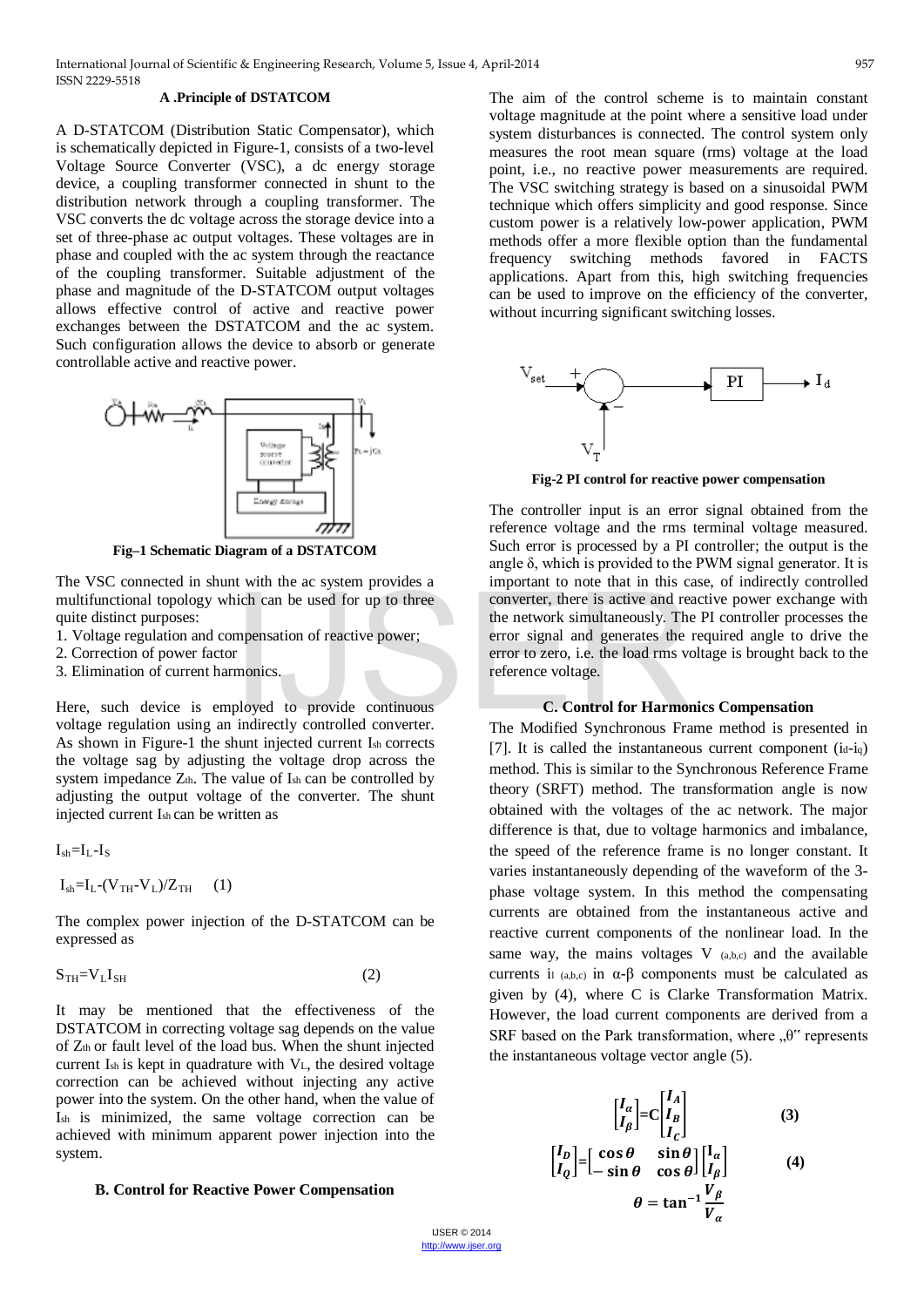#### **A .Principle of DSTATCOM**

A D-STATCOM (Distribution Static Compensator), which is schematically depicted in Figure-1, consists of a two-level Voltage Source Converter (VSC), a dc energy storage device, a coupling transformer connected in shunt to the distribution network through a coupling transformer. The VSC converts the dc voltage across the storage device into a set of three-phase ac output voltages. These voltages are in phase and coupled with the ac system through the reactance of the coupling transformer. Suitable adjustment of the phase and magnitude of the D-STATCOM output voltages allows effective control of active and reactive power exchanges between the DSTATCOM and the ac system. Such configuration allows the device to absorb or generate controllable active and reactive power.



**Fig–1 Schematic Diagram of a DSTATCOM**

The VSC connected in shunt with the ac system provides a multifunctional topology which can be used for up to three quite distinct purposes:

- 1. Voltage regulation and compensation of reactive power;
- 2. Correction of power factor
- 3. Elimination of current harmonics.

Here, such device is employed to provide continuous voltage regulation using an indirectly controlled converter. As shown in Figure-1 the shunt injected current Ish corrects the voltage sag by adjusting the voltage drop across the system impedance  $Z_{th}$ . The value of  $I_{sh}$  can be controlled by adjusting the output voltage of the converter. The shunt injected current Ish can be written as

 $I_{sh} = I_L - I_S$ 

$$
I_{\text{sh}}\text{=}I_{\text{L}}\text{-}(V_{\text{TH}}\text{-}V_{\text{L}})/Z_{\text{TH}}\quad \ (1)
$$

The complex power injection of the D-STATCOM can be expressed as

$$
S_{TH} = V_L I_{SH} \tag{2}
$$

It may be mentioned that the effectiveness of the DSTATCOM in correcting voltage sag depends on the value of Zth or fault level of the load bus. When the shunt injected current Ish is kept in quadrature with VL, the desired voltage correction can be achieved without injecting any active power into the system. On the other hand, when the value of Ish is minimized, the same voltage correction can be achieved with minimum apparent power injection into the system.

#### **B. Control for Reactive Power Compensation**

The aim of the control scheme is to maintain constant voltage magnitude at the point where a sensitive load under system disturbances is connected. The control system only measures the root mean square (rms) voltage at the load point, i.e., no reactive power measurements are required. The VSC switching strategy is based on a sinusoidal PWM technique which offers simplicity and good response. Since custom power is a relatively low-power application, PWM methods offer a more flexible option than the fundamental frequency switching methods favored in FACTS applications. Apart from this, high switching frequencies can be used to improve on the efficiency of the converter, without incurring significant switching losses.



**Fig-2 PI control for reactive power compensation**

The controller input is an error signal obtained from the reference voltage and the rms terminal voltage measured. Such error is processed by a PI controller; the output is the angle  $\delta$ , which is provided to the PWM signal generator. It is important to note that in this case, of indirectly controlled converter, there is active and reactive power exchange with the network simultaneously. The PI controller processes the error signal and generates the required angle to drive the error to zero, i.e. the load rms voltage is brought back to the reference voltage. metrical terms and the converter, there is active and responsible to an be used for up to three<br>
inch can be used for up to three<br>
metrical converter, there is active and response the network simultaneously. The<br>
error to

#### **C. Control for Harmonics Compensation**

The Modified Synchronous Frame method is presented in [7]. It is called the instantaneous current component  $(id-iq)$ method. This is similar to the Synchronous Reference Frame theory (SRFT) method. The transformation angle is now obtained with the voltages of the ac network. The major difference is that, due to voltage harmonics and imbalance, the speed of the reference frame is no longer constant. It varies instantaneously depending of the waveform of the 3 phase voltage system. In this method the compensating currents are obtained from the instantaneous active and reactive current components of the nonlinear load. In the same way, the mains voltages  $V$  (a,b,c) and the available currents il (a,b,c) in  $\alpha$ - $\beta$  components must be calculated as given by (4), where C is Clarke Transformation Matrix. However, the load current components are derived from a SRF based on the Park transformation, where "θ" represents the instantaneous voltage vector angle (5).

$$
\begin{bmatrix} I_{\alpha} \\ I_{\beta} \end{bmatrix} = C \begin{bmatrix} I_{A} \\ I_{B} \\ I_{C} \end{bmatrix}
$$
(3)  

$$
\begin{bmatrix} I_{D} \\ I_{Q} \end{bmatrix} = \begin{bmatrix} \cos \theta & \sin \theta \\ -\sin \theta & \cos \theta \end{bmatrix} \begin{bmatrix} I_{\alpha} \\ I_{\beta} \end{bmatrix}
$$
(4)  

$$
\theta = \tan^{-1} \frac{V_{\beta}}{V_{\alpha}}
$$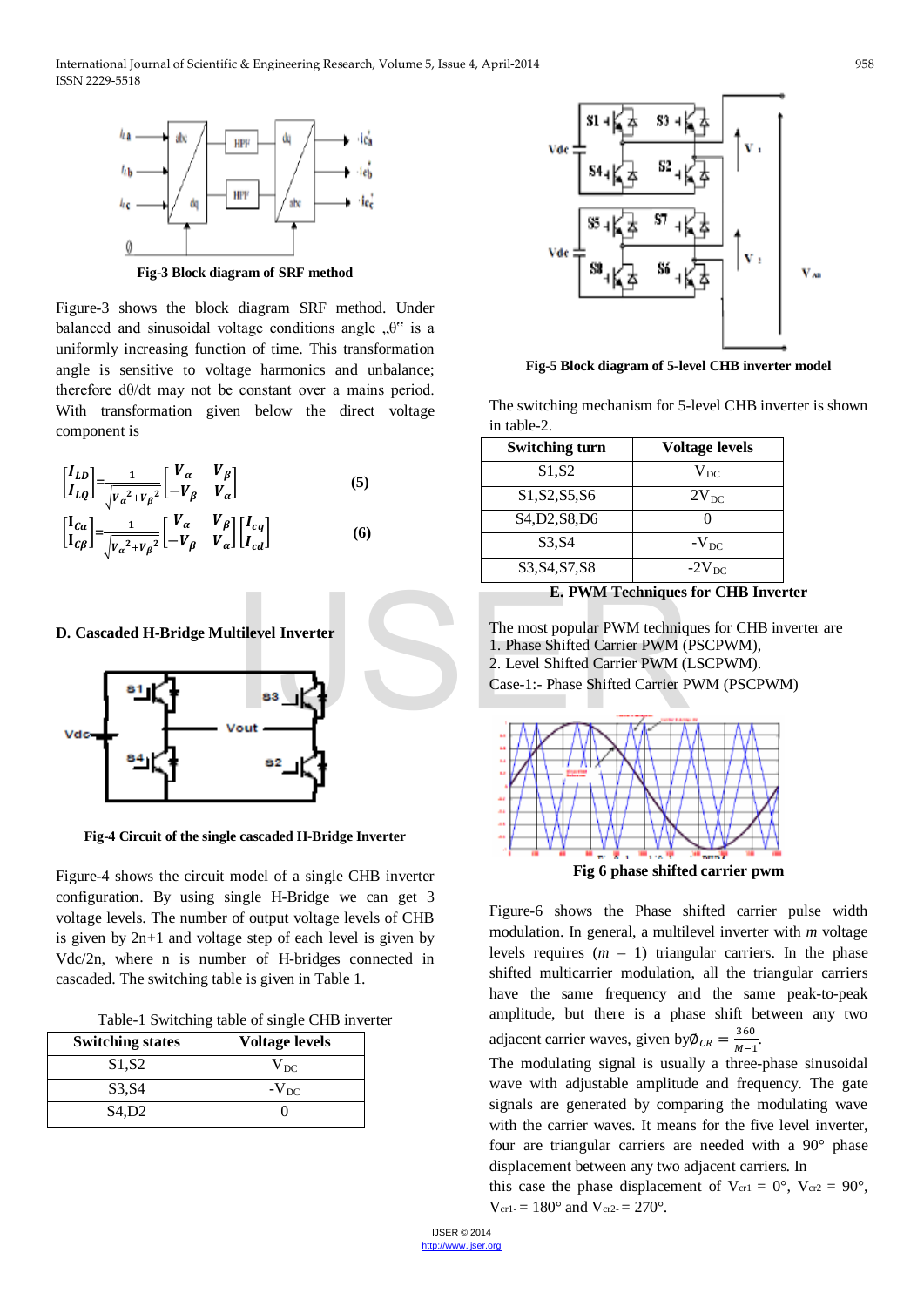

Figure-3 shows the block diagram SRF method. Under balanced and sinusoidal voltage conditions angle  $, \theta$ " is a uniformly increasing function of time. This transformation angle is sensitive to voltage harmonics and unbalance; therefore dθ/dt may not be constant over a mains period. With transformation given below the direct voltage component is

$$
\begin{bmatrix} I_{LD} \\ I_{LQ} \end{bmatrix} = \frac{1}{\sqrt{v_a^2 + v_\beta^2}} \begin{bmatrix} V_\alpha & V_\beta \\ -V_\beta & V_\alpha \end{bmatrix}
$$
 (5)  

$$
\begin{bmatrix} I_{C\alpha} \\ I_{C\beta} \end{bmatrix} = \frac{1}{\sqrt{v_a^2 + v_\beta^2}} \begin{bmatrix} V_\alpha & V_\beta \\ -V_\beta & V_\alpha \end{bmatrix} \begin{bmatrix} I_{cq} \\ I_{cd} \end{bmatrix}
$$
 (6)

## **D. Cascaded H-Bridge Multilevel Inverter**



**Fig-4 Circuit of the single cascaded H-Bridge Inverter**

Figure-4 shows the circuit model of a single CHB inverter configuration. By using single H-Bridge we can get 3 voltage levels. The number of output voltage levels of CHB is given by 2n+1 and voltage step of each level is given by Vdc/2n, where n is number of H-bridges connected in cascaded. The switching table is given in Table 1.

| Table-1 Switching table of single CHB inverter |  |  |
|------------------------------------------------|--|--|
|                                                |  |  |

| <b>Switching states</b>         | <b>Voltage levels</b> |
|---------------------------------|-----------------------|
| S <sub>1</sub> , S <sub>2</sub> | $\rm V_{DC}$          |
| S3.S4                           | $-V_{DC}$             |
| S4.D2                           |                       |



**Fig-5 Block diagram of 5-level CHB inverter model**

The switching mechanism for 5-level CHB inverter is shown in table-2.

| Switching turn                                                    | <b>Voltage levels</b> |
|-------------------------------------------------------------------|-----------------------|
| S1, S2                                                            | $\rm V_{DC}$          |
| S1, S2, S5, S6                                                    | $2V_{DC}$             |
| S <sub>4</sub> , D <sub>2</sub> , S <sub>8</sub> , D <sub>6</sub> |                       |
| S3, S4                                                            | $-V_{DC}$             |
| S3, S4, S7, S8                                                    | $-2VDC$               |

**E. PWM Techniques for CHB Inverter**

The most popular PWM techniques for CHB inverter are 1. Phase Shifted Carrier PWM (PSCPWM), 2. Level Shifted Carrier PWM (LSCPWM). Case-1:- Phase Shifted Carrier PWM (PSCPWM) E. PWM Techniques<br>
Itilevel Inverter<br>
The most popular PWM techniques<br>
1. Phase Shifted Carrier PWM (I<br>
2. Level Shifted Carrier PWM (I<br>
Case-1:- Phase Shifted Carrier P<br>
Vout



Figure-6 shows the Phase shifted carrier pulse width modulation. In general, a multilevel inverter with *m* voltage levels requires  $(m - 1)$  triangular carriers. In the phase shifted multicarrier modulation, all the triangular carriers have the same frequency and the same peak-to-peak amplitude, but there is a phase shift between any two adjacent carrier waves, given by  $\phi_{CR} = \frac{360}{M-1}$ .

The modulating signal is usually a three-phase sinusoidal wave with adjustable amplitude and frequency. The gate signals are generated by comparing the modulating wave with the carrier waves. It means for the five level inverter, four are triangular carriers are needed with a 90° phase displacement between any two adjacent carriers. In

this case the phase displacement of  $V_{\text{cr1}} = 0^{\circ}$ ,  $V_{\text{cr2}} = 90^{\circ}$ ,  $V_{\text{cr1-}} = 180^{\circ}$  and  $V_{\text{cr2-}} = 270^{\circ}$ .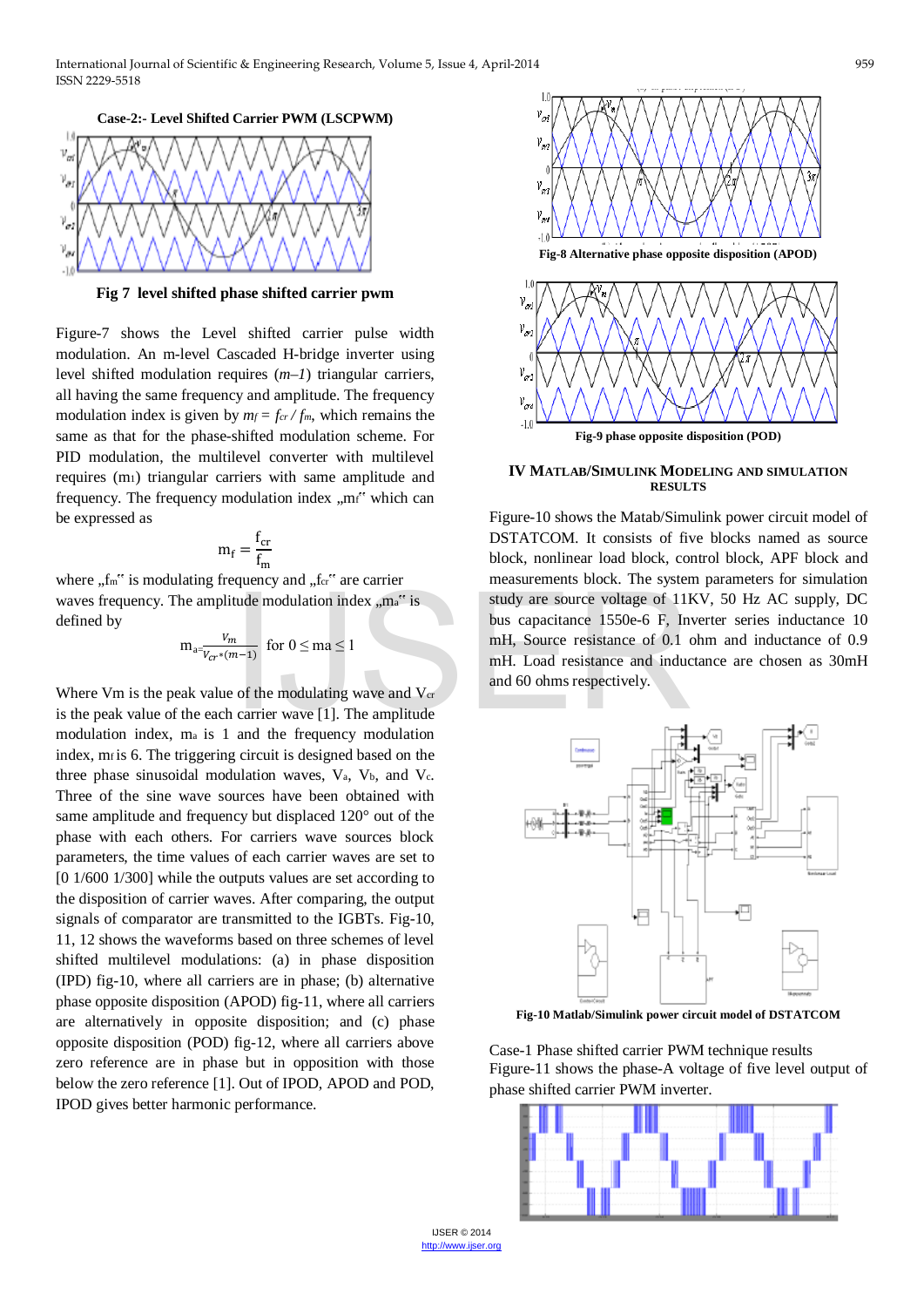

**Fig 7 level shifted phase shifted carrier pwm**

Figure-7 shows the Level shifted carrier pulse width modulation. An m-level Cascaded H-bridge inverter using level shifted modulation requires (*m–1*) triangular carriers, all having the same frequency and amplitude. The frequency modulation index is given by  $m_f = f_{cr} / f_m$ , which remains the same as that for the phase-shifted modulation scheme. For PID modulation, the multilevel converter with multilevel requires (m1) triangular carriers with same amplitude and frequency. The frequency modulation index "mf" which can be expressed as

$$
m_f = \frac{f_{cr}}{f_m}
$$

where  $f_m$ <sup>\*</sup> is modulating frequency and  $f_{\text{c}}$ <sup>\*</sup> are carrier waves frequency. The amplitude modulation index  $,m_a$ " is defined by

$$
m_{a=\frac{V_m}{V_{Cr}*(m-1)}} \ \ \text{for} \ \ 0 \le m\ a \le 1
$$

Where Vm is the peak value of the modulating wave and  $V_{cr}$ is the peak value of the each carrier wave [1]. The amplitude modulation index, ma is 1 and the frequency modulation index, mf is 6. The triggering circuit is designed based on the three phase sinusoidal modulation waves,  $V_a$ ,  $V_b$ , and  $V_c$ . Three of the sine wave sources have been obtained with same amplitude and frequency but displaced 120° out of the phase with each others. For carriers wave sources block parameters, the time values of each carrier waves are set to [0 1/600 1/300] while the outputs values are set according to the disposition of carrier waves. After comparing, the output signals of comparator are transmitted to the IGBTs. Fig-10, 11, 12 shows the waveforms based on three schemes of level shifted multilevel modulations: (a) in phase disposition (IPD) fig-10, where all carriers are in phase; (b) alternative phase opposite disposition (APOD) fig-11, where all carriers are alternatively in opposite disposition; and (c) phase opposite disposition (POD) fig-12, where all carriers above zero reference are in phase but in opposition with those below the zero reference [1]. Out of IPOD, APOD and POD, IPOD gives better harmonic performance.



**Fig-9 phase opposite disposition (POD)**

**IV MATLAB/SIMULINK MODELING AND SIMULATION RESULTS** 

Figure-10 shows the Matab/Simulink power circuit model of DSTATCOM. It consists of five blocks named as source block, nonlinear load block, control block, APF block and measurements block. The system parameters for simulation study are source voltage of 11KV, 50 Hz AC supply, DC bus capacitance 1550e-6 F, Inverter series inductance 10 mH, Source resistance of 0.1 ohm and inductance of 0.9 mH. Load resistance and inductance are chosen as 30mH and 60 ohms respectively. Itude modulation index "ma" is<br>
tudy are source voltage of 111<br>
bus capacitance 1550e-6 F, In<br>
mH, Source resistance of 0.1<br>
mH, Load resistance and induc<br>
e of the modulating wave and V<sub>er</sub><br>
i carrier wave [1]. The ampli



**Fig-10 Matlab/Simulink power circuit model of DSTATCOM**

Case-1 Phase shifted carrier PWM technique results Figure-11 shows the phase-A voltage of five level output of phase shifted carrier PWM inverter.

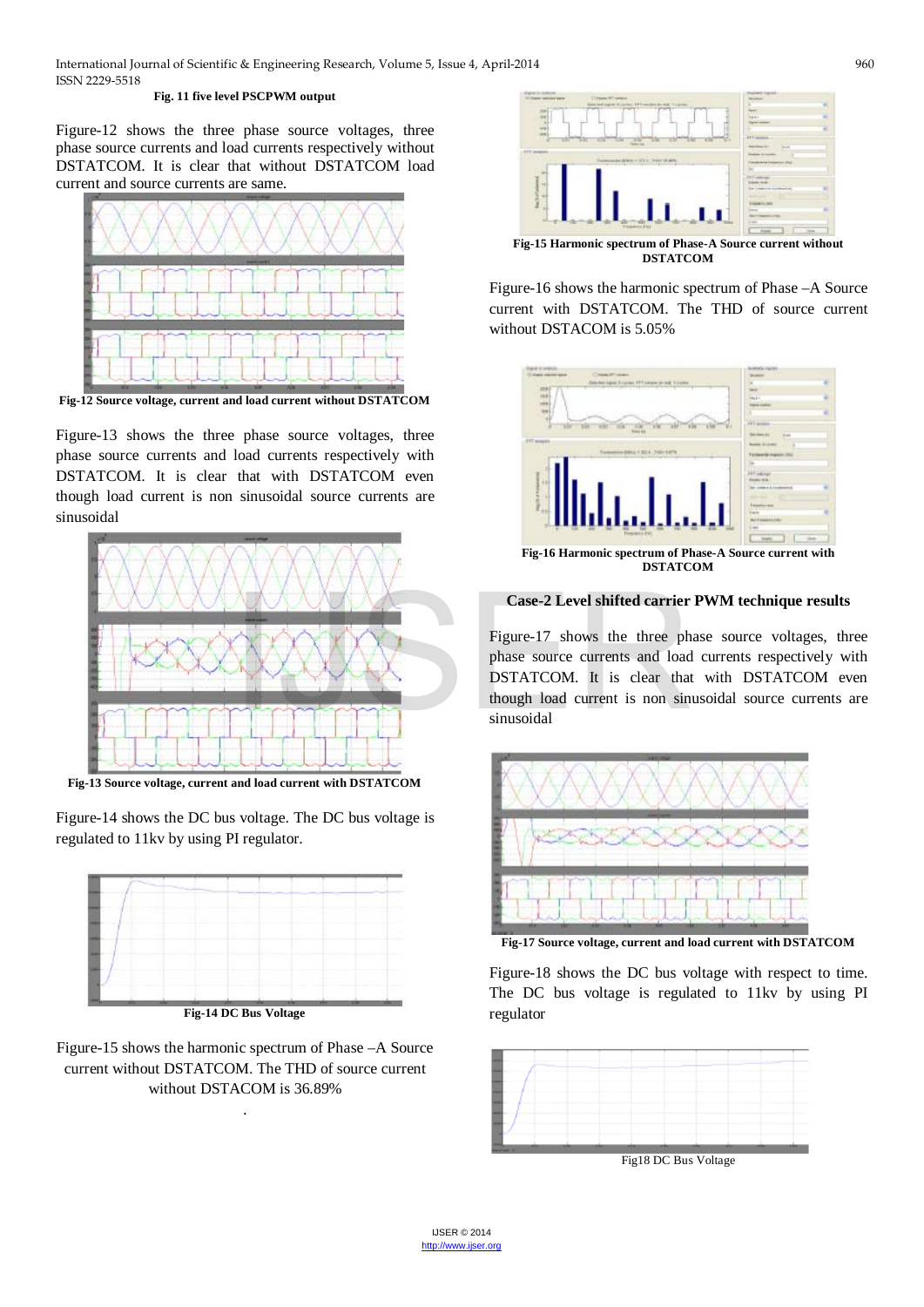#### **Fig. 11 five level PSCPWM output**

Figure-12 shows the three phase source voltages, three phase source currents and load currents respectively without DSTATCOM. It is clear that without DSTATCOM load current and source currents are same.



**Fig-12 Source voltage, current and load current without DSTATCOM**

Figure-13 shows the three phase source voltages, three phase source currents and load currents respectively with DSTATCOM. It is clear that with DSTATCOM even though load current is non sinusoidal source currents are sinusoidal



**Fig-13 Source voltage, current and load current with DSTATCOM**

Figure-14 shows the DC bus voltage. The DC bus voltage is regulated to 11kv by using PI regulator.



Figure-15 shows the harmonic spectrum of Phase –A Source current without DSTATCOM. The THD of source current without DSTACOM is 36.89%

.



**DSTATCOM**

Figure-16 shows the harmonic spectrum of Phase –A Source current with DSTATCOM. The THD of source current without DSTACOM is 5.05%



**Case-2 Level shifted carrier PWM technique results**

Figure-17 shows the three phase source voltages, three phase source currents and load currents respectively with DSTATCOM. It is clear that with DSTATCOM even though load current is non sinusoidal source currents are sinusoidal



**Fig-17 Source voltage, current and load current with DSTATCOM**

Figure-18 shows the DC bus voltage with respect to time. The DC bus voltage is regulated to 11kv by using PI regulator